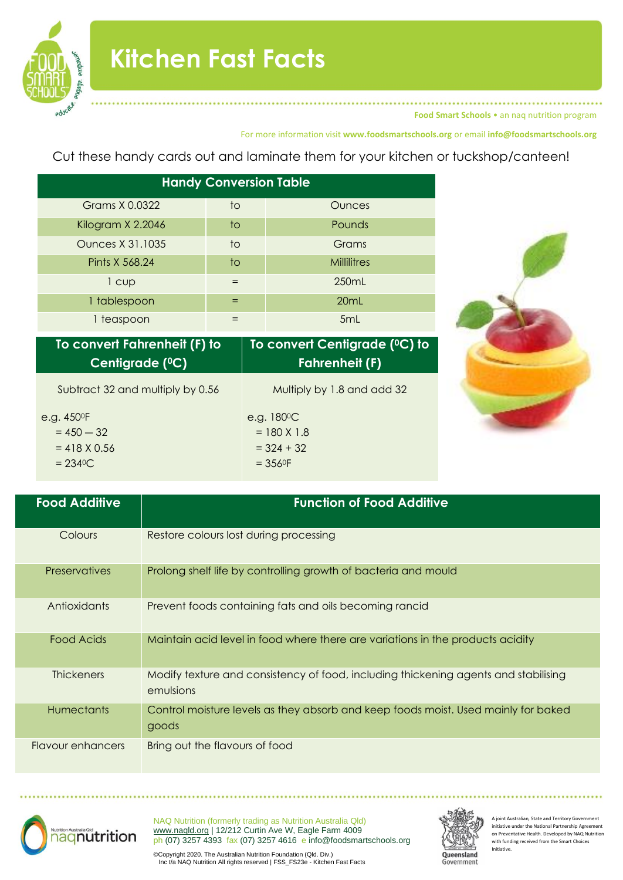

**Food Smart Schools** • an naq nutrition program

## For more information visit **www.foodsmartschools.org** or email **info@foodsmartschools.org**

Cut these handy cards out and laminate them for your kitchen or tuckshop/canteen!

| <b>Handy Conversion Table</b> |     |                    |  |  |  |  |
|-------------------------------|-----|--------------------|--|--|--|--|
| Grams X 0.0322                | to  | <b>Ounces</b>      |  |  |  |  |
| Kilogram X 2.2046             | to  | <b>Pounds</b>      |  |  |  |  |
| <b>Ounces X 31.1035</b>       | to  | Grams              |  |  |  |  |
| Pints X 568.24                | to  | <b>Millilitres</b> |  |  |  |  |
| 1 cup                         | $=$ | 250mL              |  |  |  |  |
| 1 tablespoon                  |     | 20mL               |  |  |  |  |
| 1 teaspoon                    |     | 5 <sub>mL</sub>    |  |  |  |  |

| To convert Fahrenheit (F) to     | To convert Centigrade (°C) to |
|----------------------------------|-------------------------------|
| Centigrade ( <sup>0</sup> C)     | <b>Fahrenheit (F)</b>         |
| Subtract 32 and multiply by 0.56 | Multiply by 1.8 and add 32    |
| e.g. 450 <sup>o</sup> F          | e.g. $180^{\circ}$ C          |
| $= 450 - 32$                     | $= 180 X 1.8$                 |
| $= 418 X 0.56$                   | $=$ 324 + 32                  |
| $= 2340C$                        | $= 3560F$                     |



| <b>Food Additive</b> | <b>Function of Food Additive</b>                                                                 |
|----------------------|--------------------------------------------------------------------------------------------------|
| Colours              | Restore colours lost during processing                                                           |
| <b>Preservatives</b> | Prolong shelf life by controlling growth of bacteria and mould                                   |
| Antioxidants         | Prevent foods containing fats and oils becoming rancid                                           |
| <b>Food Acids</b>    | Maintain acid level in food where there are variations in the products acidity                   |
| <b>Thickeners</b>    | Modify texture and consistency of food, including thickening agents and stabilising<br>emulsions |
| <b>Humectants</b>    | Control moisture levels as they absorb and keep foods moist. Used mainly for baked<br>goods      |
| Flavour enhancers    | Bring out the flavours of food                                                                   |



NAQ Nutrition (formerly trading as Nutrition Australia Qld) [www.naqld.org](http://www.naqld.org/) | 12/212 Curtin Ave W, Eagle Farm 4009 ph (07) 3257 4393 fax (07) 3257 4616 e info@foodsmartschools.org



A joint Australian, State and Territory Govern initiative under the National Partnership Agreement on Preventative Health. Developed by NAQ Nutrition with funding received from the Smart Choices Initiative.

©Copyright 2020. The Australian Nutrition Foundation (Qld. Div.) Inc t/a NAQ Nutrition All rights reserved | FSS\_FS23e - Kitchen Fast Facts